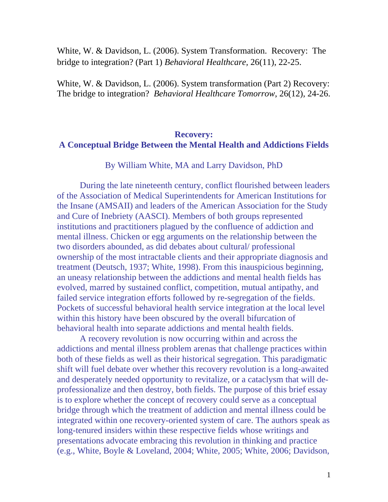White, W. & Davidson, L. (2006). System Transformation. Recovery: The bridge to integration? (Part 1) *Behavioral Healthcare,* 26(11), 22-25.

White, W. & Davidson, L. (2006). System transformation (Part 2) Recovery: The bridge to integration? *Behavioral Healthcare Tomorrow*, 26(12), 24-26.

# **Recovery: A Conceptual Bridge Between the Mental Health and Addictions Fields**

By William White, MA and Larry Davidson, PhD

 During the late nineteenth century, conflict flourished between leaders of the Association of Medical Superintendents for American Institutions for the Insane (AMSAII) and leaders of the American Association for the Study and Cure of Inebriety (AASCI). Members of both groups represented institutions and practitioners plagued by the confluence of addiction and mental illness. Chicken or egg arguments on the relationship between the two disorders abounded, as did debates about cultural/ professional ownership of the most intractable clients and their appropriate diagnosis and treatment (Deutsch, 1937; White, 1998). From this inauspicious beginning, an uneasy relationship between the addictions and mental health fields has evolved, marred by sustained conflict, competition, mutual antipathy, and failed service integration efforts followed by re-segregation of the fields. Pockets of successful behavioral health service integration at the local level within this history have been obscured by the overall bifurcation of behavioral health into separate addictions and mental health fields.

A recovery revolution is now occurring within and across the addictions and mental illness problem arenas that challenge practices within both of these fields as well as their historical segregation. This paradigmatic shift will fuel debate over whether this recovery revolution is a long-awaited and desperately needed opportunity to revitalize, or a cataclysm that will deprofessionalize and then destroy, both fields. The purpose of this brief essay is to explore whether the concept of recovery could serve as a conceptual bridge through which the treatment of addiction and mental illness could be integrated within one recovery-oriented system of care. The authors speak as long-tenured insiders within these respective fields whose writings and presentations advocate embracing this revolution in thinking and practice (e.g., White, Boyle & Loveland, 2004; White, 2005; White, 2006; Davidson,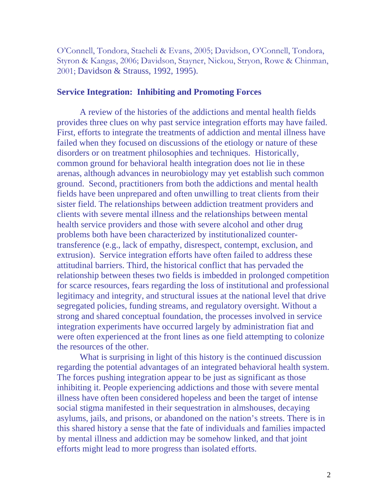O'Connell, Tondora, Staeheli & Evans, 2005; Davidson, O'Connell, Tondora, Styron & Kangas, 2006; Davidson, Stayner, Nickou, Stryon, Rowe & Chinman, 2001; Davidson & Strauss, 1992, 1995).

### **Service Integration: Inhibiting and Promoting Forces**

A review of the histories of the addictions and mental health fields provides three clues on why past service integration efforts may have failed. First, efforts to integrate the treatments of addiction and mental illness have failed when they focused on discussions of the etiology or nature of these disorders or on treatment philosophies and techniques. Historically, common ground for behavioral health integration does not lie in these arenas, although advances in neurobiology may yet establish such common ground. Second, practitioners from both the addictions and mental health fields have been unprepared and often unwilling to treat clients from their sister field. The relationships between addiction treatment providers and clients with severe mental illness and the relationships between mental health service providers and those with severe alcohol and other drug problems both have been characterized by institutionalized countertransference (e.g., lack of empathy, disrespect, contempt, exclusion, and extrusion). Service integration efforts have often failed to address these attitudinal barriers. Third, the historical conflict that has pervaded the relationship between theses two fields is imbedded in prolonged competition for scarce resources, fears regarding the loss of institutional and professional legitimacy and integrity, and structural issues at the national level that drive segregated policies, funding streams, and regulatory oversight. Without a strong and shared conceptual foundation, the processes involved in service integration experiments have occurred largely by administration fiat and were often experienced at the front lines as one field attempting to colonize the resources of the other.

 What is surprising in light of this history is the continued discussion regarding the potential advantages of an integrated behavioral health system. The forces pushing integration appear to be just as significant as those inhibiting it. People experiencing addictions and those with severe mental illness have often been considered hopeless and been the target of intense social stigma manifested in their sequestration in almshouses, decaying asylums, jails, and prisons, or abandoned on the nation's streets. There is in this shared history a sense that the fate of individuals and families impacted by mental illness and addiction may be somehow linked, and that joint efforts might lead to more progress than isolated efforts.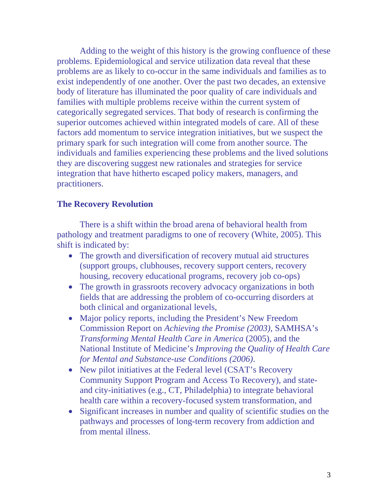Adding to the weight of this history is the growing confluence of these problems. Epidemiological and service utilization data reveal that these problems are as likely to co-occur in the same individuals and families as to exist independently of one another. Over the past two decades, an extensive body of literature has illuminated the poor quality of care individuals and families with multiple problems receive within the current system of categorically segregated services. That body of research is confirming the superior outcomes achieved within integrated models of care. All of these factors add momentum to service integration initiatives, but we suspect the primary spark for such integration will come from another source. The individuals and families experiencing these problems and the lived solutions they are discovering suggest new rationales and strategies for service integration that have hitherto escaped policy makers, managers, and practitioners.

## **The Recovery Revolution**

There is a shift within the broad arena of behavioral health from pathology and treatment paradigms to one of recovery (White, 2005). This shift is indicated by:

- The growth and diversification of recovery mutual aid structures (support groups, clubhouses, recovery support centers, recovery housing, recovery educational programs, recovery job co-ops)
- The growth in grassroots recovery advocacy organizations in both fields that are addressing the problem of co-occurring disorders at both clinical and organizational levels,
- Major policy reports, including the President's New Freedom Commission Report on *Achieving the Promise (2003)*, SAMHSA's *Transforming Mental Health Care in America* (2005), and the National Institute of Medicine's *Improving the Quality of Health Care for Mental and Substance-use Conditions (2006)*.
- New pilot initiatives at the Federal level (CSAT's Recovery Community Support Program and Access To Recovery), and stateand city-initiatives (e.g., CT, Philadelphia) to integrate behavioral health care within a recovery-focused system transformation, and
- Significant increases in number and quality of scientific studies on the pathways and processes of long-term recovery from addiction and from mental illness.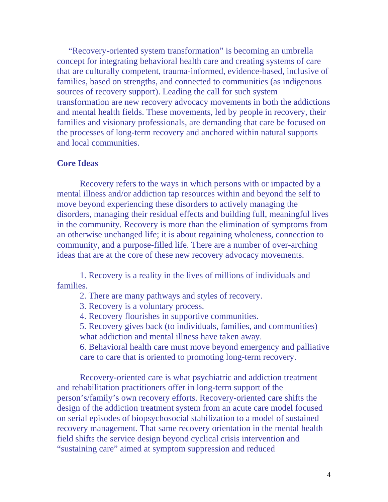"Recovery-oriented system transformation" is becoming an umbrella concept for integrating behavioral health care and creating systems of care that are culturally competent, trauma-informed, evidence-based, inclusive of families, based on strengths, and connected to communities (as indigenous sources of recovery support). Leading the call for such system transformation are new recovery advocacy movements in both the addictions and mental health fields. These movements, led by people in recovery, their families and visionary professionals, are demanding that care be focused on the processes of long-term recovery and anchored within natural supports and local communities.

### **Core Ideas**

Recovery refers to the ways in which persons with or impacted by a mental illness and/or addiction tap resources within and beyond the self to move beyond experiencing these disorders to actively managing the disorders, managing their residual effects and building full, meaningful lives in the community. Recovery is more than the elimination of symptoms from an otherwise unchanged life; it is about regaining wholeness, connection to community, and a purpose-filled life. There are a number of over-arching ideas that are at the core of these new recovery advocacy movements.

 1. Recovery is a reality in the lives of millions of individuals and families.

- 2. There are many pathways and styles of recovery.
- 3. Recovery is a voluntary process.

4. Recovery flourishes in supportive communities.

5. Recovery gives back (to individuals, families, and communities) what addiction and mental illness have taken away.

6. Behavioral health care must move beyond emergency and palliative care to care that is oriented to promoting long-term recovery.

Recovery-oriented care is what psychiatric and addiction treatment and rehabilitation practitioners offer in long-term support of the person's/family's own recovery efforts. Recovery-oriented care shifts the design of the addiction treatment system from an acute care model focused on serial episodes of biopsychosocial stabilization to a model of sustained recovery management. That same recovery orientation in the mental health field shifts the service design beyond cyclical crisis intervention and "sustaining care" aimed at symptom suppression and reduced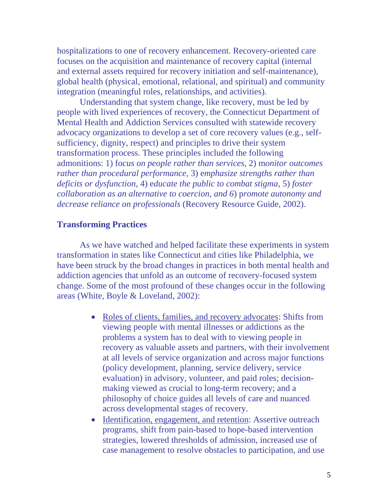hospitalizations to one of recovery enhancement. Recovery-oriented care focuses on the acquisition and maintenance of recovery capital (internal and external assets required for recovery initiation and self-maintenance), global health (physical, emotional, relational, and spiritual) and community integration (meaningful roles, relationships, and activities).

 Understanding that system change, like recovery, must be led by people with lived experiences of recovery, the Connecticut Department of Mental Health and Addiction Services consulted with statewide recovery advocacy organizations to develop a set of core recovery values (e.g., selfsufficiency, dignity, respect) and principles to drive their system transformation process. These principles included the following admonitions: 1) f*ocus on people rather than services,* 2) m*onitor outcomes rather than procedural performance,* 3) e*mphasize strengths rather than deficits or dysfunction,* 4) e*ducate the public to combat stigma,* 5) *foster collaboration as an alternative to coercion, and 6*) p*romote autonomy and decrease reliance on professionals* (Recovery Resource Guide, 2002).

## **Transforming Practices**

As we have watched and helped facilitate these experiments in system transformation in states like Connecticut and cities like Philadelphia, we have been struck by the broad changes in practices in both mental health and addiction agencies that unfold as an outcome of recovery-focused system change. Some of the most profound of these changes occur in the following areas (White, Boyle & Loveland, 2002):

- Roles of clients, families, and recovery advocates: Shifts from viewing people with mental illnesses or addictions as the problems a system has to deal with to viewing people in recovery as valuable assets and partners, with their involvement at all levels of service organization and across major functions (policy development, planning, service delivery, service evaluation) in advisory, volunteer, and paid roles; decisionmaking viewed as crucial to long-term recovery; and a philosophy of choice guides all levels of care and nuanced across developmental stages of recovery.
- Identification, engagement, and retention: Assertive outreach programs, shift from pain-based to hope-based intervention strategies, lowered thresholds of admission, increased use of case management to resolve obstacles to participation, and use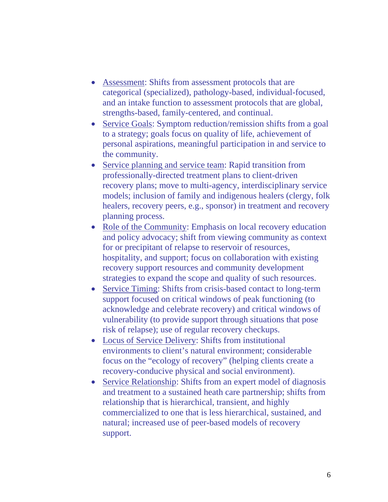- Assessment: Shifts from assessment protocols that are categorical (specialized), pathology-based, individual-focused, and an intake function to assessment protocols that are global, strengths-based, family-centered, and continual.
- Service Goals: Symptom reduction/remission shifts from a goal to a strategy; goals focus on quality of life, achievement of personal aspirations, meaningful participation in and service to the community.
- Service planning and service team: Rapid transition from professionally-directed treatment plans to client-driven recovery plans; move to multi-agency, interdisciplinary service models; inclusion of family and indigenous healers (clergy, folk healers, recovery peers, e.g., sponsor) in treatment and recovery planning process.
- Role of the Community: Emphasis on local recovery education and policy advocacy; shift from viewing community as context for or precipitant of relapse to reservoir of resources, hospitality, and support; focus on collaboration with existing recovery support resources and community development strategies to expand the scope and quality of such resources.
- Service Timing: Shifts from crisis-based contact to long-term support focused on critical windows of peak functioning (to acknowledge and celebrate recovery) and critical windows of vulnerability (to provide support through situations that pose risk of relapse); use of regular recovery checkups.
- Locus of Service Delivery: Shifts from institutional environments to client's natural environment; considerable focus on the "ecology of recovery" (helping clients create a recovery-conducive physical and social environment).
- Service Relationship: Shifts from an expert model of diagnosis and treatment to a sustained heath care partnership; shifts from relationship that is hierarchical, transient, and highly commercialized to one that is less hierarchical, sustained, and natural; increased use of peer-based models of recovery support.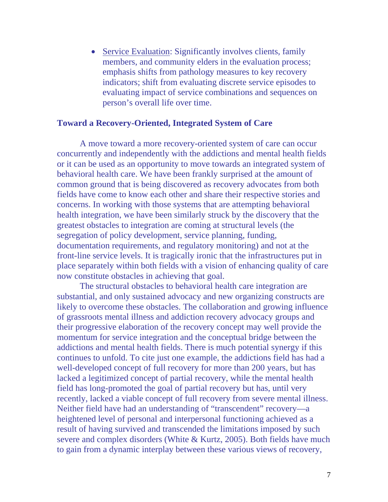• Service Evaluation: Significantly involves clients, family members, and community elders in the evaluation process; emphasis shifts from pathology measures to key recovery indicators; shift from evaluating discrete service episodes to evaluating impact of service combinations and sequences on person's overall life over time.

### **Toward a Recovery-Oriented, Integrated System of Care**

 A move toward a more recovery-oriented system of care can occur concurrently and independently with the addictions and mental health fields or it can be used as an opportunity to move towards an integrated system of behavioral health care. We have been frankly surprised at the amount of common ground that is being discovered as recovery advocates from both fields have come to know each other and share their respective stories and concerns. In working with those systems that are attempting behavioral health integration, we have been similarly struck by the discovery that the greatest obstacles to integration are coming at structural levels (the segregation of policy development, service planning, funding, documentation requirements, and regulatory monitoring) and not at the front-line service levels. It is tragically ironic that the infrastructures put in place separately within both fields with a vision of enhancing quality of care now constitute obstacles in achieving that goal.

 The structural obstacles to behavioral health care integration are substantial, and only sustained advocacy and new organizing constructs are likely to overcome these obstacles. The collaboration and growing influence of grassroots mental illness and addiction recovery advocacy groups and their progressive elaboration of the recovery concept may well provide the momentum for service integration and the conceptual bridge between the addictions and mental health fields. There is much potential synergy if this continues to unfold. To cite just one example, the addictions field has had a well-developed concept of full recovery for more than 200 years, but has lacked a legitimized concept of partial recovery, while the mental health field has long-promoted the goal of partial recovery but has, until very recently, lacked a viable concept of full recovery from severe mental illness. Neither field have had an understanding of "transcendent" recovery—a heightened level of personal and interpersonal functioning achieved as a result of having survived and transcended the limitations imposed by such severe and complex disorders (White & Kurtz, 2005). Both fields have much to gain from a dynamic interplay between these various views of recovery,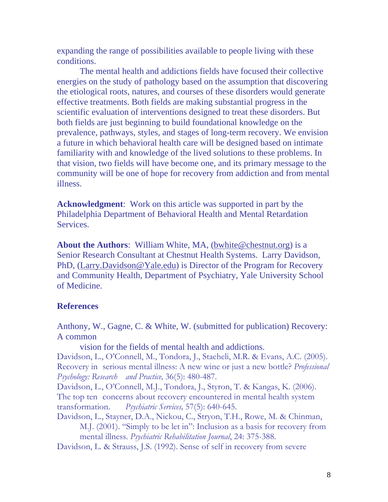expanding the range of possibilities available to people living with these conditions.

 The mental health and addictions fields have focused their collective energies on the study of pathology based on the assumption that discovering the etiological roots, natures, and courses of these disorders would generate effective treatments. Both fields are making substantial progress in the scientific evaluation of interventions designed to treat these disorders. But both fields are just beginning to build foundational knowledge on the prevalence, pathways, styles, and stages of long-term recovery. We envision a future in which behavioral health care will be designed based on intimate familiarity with and knowledge of the lived solutions to these problems. In that vision, two fields will have become one, and its primary message to the community will be one of hope for recovery from addiction and from mental illness.

**Acknowledgment**: Work on this article was supported in part by the Philadelphia Department of Behavioral Health and Mental Retardation Services.

**About the Authors**: William White, MA, ([bwhite@chestnut.org\)](mailto:bwhite@chestnut.org) is a Senior Research Consultant at Chestnut Health Systems. Larry Davidson, PhD, ([Larry.Davidson@Yale.edu\)](mailto:Larry.Davidson@Yale.edu) is Director of the Program for Recovery and Community Health, Department of Psychiatry, Yale University School of Medicine.

#### **References**

Anthony, W., Gagne, C. & White, W. (submitted for publication) Recovery: A common

vision for the fields of mental health and addictions.

Davidson, L., O'Connell, M., Tondora, J., Staeheli, M.R. & Evans, A.C. (2005). Recovery in serious mental illness: A new wine or just a new bottle? *Professional Psychology: Research and Practice,* 36(5): 480-487.

Davidson, L., O'Connell, M.J., Tondora, J., Styron, T. & Kangas, K. (2006). The top ten concerns about recovery encountered in mental health system transformation. *Psychiatric Services,* 57(5): 640-645.

Davidson, L., Stayner, D.A., Nickou, C., Stryon, T.H., Rowe, M. & Chinman, M.J. (2001). "Simply to be let in": Inclusion as a basis for recovery from mental illness. *Psychiatric Rehabilitation Journal*, 24: 375-388.

Davidson, L. & Strauss, J.S. (1992). Sense of self in recovery from severe